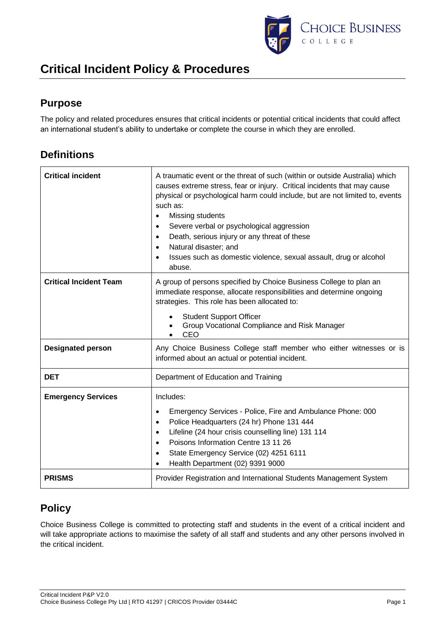

## **Purpose**

The policy and related procedures ensures that critical incidents or potential critical incidents that could affect an international student's ability to undertake or complete the course in which they are enrolled.

### **Definitions**

| <b>Critical incident</b>      | A traumatic event or the threat of such (within or outside Australia) which<br>causes extreme stress, fear or injury. Critical incidents that may cause<br>physical or psychological harm could include, but are not limited to, events<br>such as:<br>Missing students<br>$\bullet$<br>Severe verbal or psychological aggression<br>٠<br>Death, serious injury or any threat of these<br>$\bullet$<br>Natural disaster; and<br>$\bullet$<br>Issues such as domestic violence, sexual assault, drug or alcohol<br>abuse. |
|-------------------------------|--------------------------------------------------------------------------------------------------------------------------------------------------------------------------------------------------------------------------------------------------------------------------------------------------------------------------------------------------------------------------------------------------------------------------------------------------------------------------------------------------------------------------|
| <b>Critical Incident Team</b> | A group of persons specified by Choice Business College to plan an<br>immediate response, allocate responsibilities and determine ongoing<br>strategies. This role has been allocated to:<br><b>Student Support Officer</b><br>Group Vocational Compliance and Risk Manager                                                                                                                                                                                                                                              |
|                               | CEO                                                                                                                                                                                                                                                                                                                                                                                                                                                                                                                      |
| <b>Designated person</b>      | Any Choice Business College staff member who either witnesses or is<br>informed about an actual or potential incident.                                                                                                                                                                                                                                                                                                                                                                                                   |
| <b>DET</b>                    | Department of Education and Training                                                                                                                                                                                                                                                                                                                                                                                                                                                                                     |
| <b>Emergency Services</b>     | Includes:<br>Emergency Services - Police, Fire and Ambulance Phone: 000<br>$\bullet$<br>Police Headquarters (24 hr) Phone 131 444<br>٠<br>Lifeline (24 hour crisis counselling line) 131 114<br>$\bullet$<br>Poisons Information Centre 13 11 26<br>$\bullet$<br>State Emergency Service (02) 4251 6111<br>٠<br>Health Department (02) 9391 9000<br>$\bullet$                                                                                                                                                            |
| <b>PRISMS</b>                 | Provider Registration and International Students Management System                                                                                                                                                                                                                                                                                                                                                                                                                                                       |

## **Policy**

Choice Business College is committed to protecting staff and students in the event of a critical incident and will take appropriate actions to maximise the safety of all staff and students and any other persons involved in the critical incident.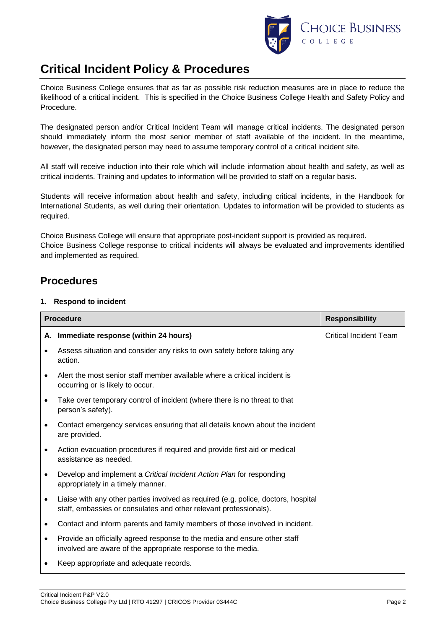

Choice Business College ensures that as far as possible risk reduction measures are in place to reduce the likelihood of a critical incident. This is specified in the Choice Business College Health and Safety Policy and Procedure.

The designated person and/or Critical Incident Team will manage critical incidents. The designated person should immediately inform the most senior member of staff available of the incident. In the meantime, however, the designated person may need to assume temporary control of a critical incident site.

All staff will receive induction into their role which will include information about health and safety, as well as critical incidents. Training and updates to information will be provided to staff on a regular basis.

Students will receive information about health and safety, including critical incidents, in the Handbook for International Students, as well during their orientation. Updates to information will be provided to students as required.

Choice Business College will ensure that appropriate post-incident support is provided as required. Choice Business College response to critical incidents will always be evaluated and improvements identified and implemented as required.

### **Procedures**

#### **1. Respond to incident**

| <b>Procedure</b> |                                                                                                                                                         | <b>Responsibility</b>         |
|------------------|---------------------------------------------------------------------------------------------------------------------------------------------------------|-------------------------------|
|                  | A. Immediate response (within 24 hours)                                                                                                                 | <b>Critical Incident Team</b> |
|                  | Assess situation and consider any risks to own safety before taking any<br>action.                                                                      |                               |
| $\bullet$        | Alert the most senior staff member available where a critical incident is<br>occurring or is likely to occur.                                           |                               |
| $\bullet$        | Take over temporary control of incident (where there is no threat to that<br>person's safety).                                                          |                               |
|                  | Contact emergency services ensuring that all details known about the incident<br>are provided.                                                          |                               |
|                  | Action evacuation procedures if required and provide first aid or medical<br>assistance as needed.                                                      |                               |
| $\bullet$        | Develop and implement a Critical Incident Action Plan for responding<br>appropriately in a timely manner.                                               |                               |
| ٠                | Liaise with any other parties involved as required (e.g. police, doctors, hospital<br>staff, embassies or consulates and other relevant professionals). |                               |
| ٠                | Contact and inform parents and family members of those involved in incident.                                                                            |                               |
| $\bullet$        | Provide an officially agreed response to the media and ensure other staff<br>involved are aware of the appropriate response to the media.               |                               |
| ٠                | Keep appropriate and adequate records.                                                                                                                  |                               |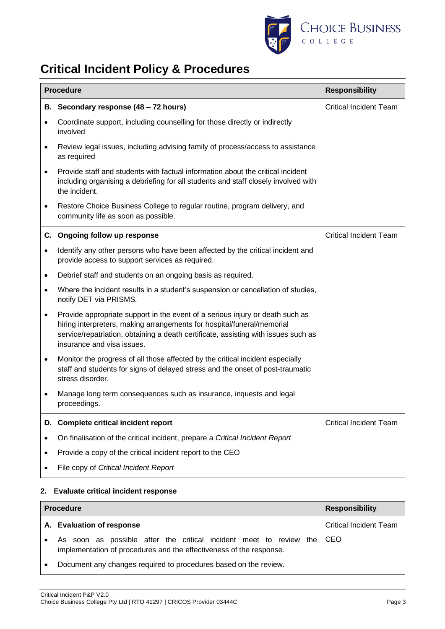

|           | <b>Procedure</b><br><b>Responsibility</b>                                                                                                                                                                                                                                   |                               |  |
|-----------|-----------------------------------------------------------------------------------------------------------------------------------------------------------------------------------------------------------------------------------------------------------------------------|-------------------------------|--|
|           | B. Secondary response (48 - 72 hours)                                                                                                                                                                                                                                       | <b>Critical Incident Team</b> |  |
|           | Coordinate support, including counselling for those directly or indirectly<br>involved                                                                                                                                                                                      |                               |  |
| $\bullet$ | Review legal issues, including advising family of process/access to assistance<br>as required                                                                                                                                                                               |                               |  |
| $\bullet$ | Provide staff and students with factual information about the critical incident<br>including organising a debriefing for all students and staff closely involved with<br>the incident.                                                                                      |                               |  |
| ٠         | Restore Choice Business College to regular routine, program delivery, and<br>community life as soon as possible.                                                                                                                                                            |                               |  |
| C.        | Ongoing follow up response                                                                                                                                                                                                                                                  | <b>Critical Incident Team</b> |  |
| $\bullet$ | Identify any other persons who have been affected by the critical incident and<br>provide access to support services as required.                                                                                                                                           |                               |  |
| $\bullet$ | Debrief staff and students on an ongoing basis as required.                                                                                                                                                                                                                 |                               |  |
| $\bullet$ | Where the incident results in a student's suspension or cancellation of studies,<br>notify DET via PRISMS.                                                                                                                                                                  |                               |  |
| $\bullet$ | Provide appropriate support in the event of a serious injury or death such as<br>hiring interpreters, making arrangements for hospital/funeral/memorial<br>service/repatriation, obtaining a death certificate, assisting with issues such as<br>insurance and visa issues. |                               |  |
| $\bullet$ | Monitor the progress of all those affected by the critical incident especially<br>staff and students for signs of delayed stress and the onset of post-traumatic<br>stress disorder.                                                                                        |                               |  |
|           | Manage long term consequences such as insurance, inquests and legal<br>proceedings.                                                                                                                                                                                         |                               |  |
| D.        | <b>Complete critical incident report</b>                                                                                                                                                                                                                                    | <b>Critical Incident Team</b> |  |
|           | On finalisation of the critical incident, prepare a Critical Incident Report                                                                                                                                                                                                |                               |  |
| ٠         | Provide a copy of the critical incident report to the CEO                                                                                                                                                                                                                   |                               |  |
|           | File copy of Critical Incident Report                                                                                                                                                                                                                                       |                               |  |

#### **2. Evaluate critical incident response**

| <b>Procedure</b> |                                                                                                                                           | <b>Responsibility</b>         |
|------------------|-------------------------------------------------------------------------------------------------------------------------------------------|-------------------------------|
|                  | A. Evaluation of response                                                                                                                 | <b>Critical Incident Team</b> |
|                  | As soon as possible after the critical incident meet to review the<br>implementation of procedures and the effectiveness of the response. | CEO                           |
|                  | Document any changes required to procedures based on the review.                                                                          |                               |